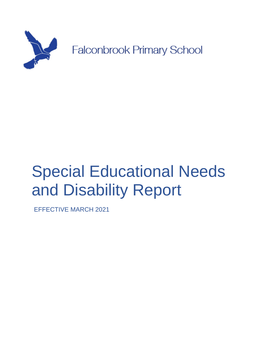

# Special Educational Needs and Disability Report

EFFECTIVE MARCH 2021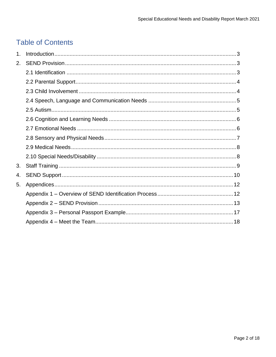# **Table of Contents**

| 1. |  |
|----|--|
| 2. |  |
|    |  |
|    |  |
|    |  |
|    |  |
|    |  |
|    |  |
|    |  |
|    |  |
|    |  |
|    |  |
| 3. |  |
| 4. |  |
| 5. |  |
|    |  |
|    |  |
|    |  |
|    |  |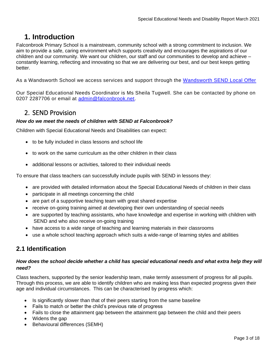# <span id="page-2-0"></span>**1. Introduction**

Falconbrook Primary School is a mainstream, community school with a strong commitment to inclusion. We aim to provide a safe, caring environment which supports creativity and encourages the aspirations of our children and our community. We want our children, our staff and our communities to develop and achieve – constantly learning, reflecting and innovating so that we are delivering our best, and our best keeps getting better.

As a Wandsworth School we access services and support through the [Wandsworth SEND Local Offer](https://thrive.wandsworth.gov.uk/kb5/wandsworth/fsd/home.page)

Our Special Educational Needs Coordinator is Ms Sheila Tugwell. She can be contacted by phone on 0207 2287706 or email at [admin@falconbrook.net.](mailto:admin@falconbrook.net)

# <span id="page-2-1"></span>2. SEND Provision

#### *How do we meet the needs of children with SEND at Falconbrook?*

Children with Special Educational Needs and Disabilities can expect:

- to be fully included in class lessons and school life
- to work on the same curriculum as the other children in their class
- additional lessons or activities, tailored to their individual needs

To ensure that class teachers can successfully include pupils with SEND in lessons they:

- are provided with detailed information about the Special Educational Needs of children in their class
- participate in all meetings concerning the child
- are part of a supportive teaching team with great shared expertise
- receive on-going training aimed at developing their own understanding of special needs
- are supported by teaching assistants, who have knowledge and expertise in working with children with SEND and who also receive on-going training
- have access to a wide range of teaching and learning materials in their classrooms
- use a whole school teaching approach which suits a wide-range of learning styles and abilities

# <span id="page-2-2"></span>**2.1 Identification**

#### *How does the school decide whether a child has special educational needs and what extra help they will need?*

Class teachers, supported by the senior leadership team, make termly assessment of progress for all pupils. Through this process, we are able to identify children who are making less than expected progress given their age and individual circumstances. This can be characterised by progress which:

- Is significantly slower than that of their peers starting from the same baseline
- Fails to match or better the child's previous rate of progress
- Fails to close the attainment gap between the attainment gap between the child and their peers
- Widens the gap
- Behavioural differences (SEMH)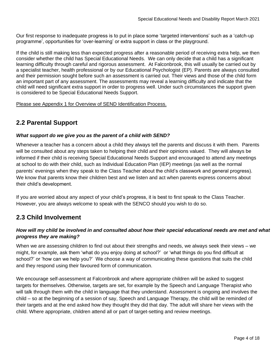Our first response to inadequate progress is to put in place some 'targeted interventions' such as a 'catch-up programme', opportunities for 'over-learning' or extra support in class or the playground.

If the child is still making less than expected progress after a reasonable period of receiving extra help, we then consider whether the child has Special Educational Needs. We can only decide that a child has a significant learning difficulty through careful and rigorous assessment. At Falconbrook, this will usually be carried out by a specialist teacher, health professional or by our Educational Psychologist (EP). Parents are always consulted and their permission sought before such an assessment is carried out. Their views and those of the child form an important part of any assessment. The assessments may reveal a learning difficulty and indicate that the child will need significant extra support in order to progress well. Under such circumstances the support given is considered to be Special Educational Needs Support.

Please see Appendix 1 for Overview of SEND Identification Process.

## <span id="page-3-0"></span>**2.2 Parental Support**

#### *What support do we give you as the parent of a child with SEND?*

Whenever a teacher has a concern about a child they always tell the parents and discuss it with them. Parents will be consulted about any steps taken to helping their child and their opinions valued. They will always be informed if their child is receiving Special Educational Needs Support and encouraged to attend any meetings at school to do with their child, such as Individual Education Plan (IEP) meetings (as well as the normal parents' evenings when they speak to the Class Teacher about the child's classwork and general progress). We know that parents know their children best and we listen and act when parents express concerns about their child's development.

If you are worried about any aspect of your child's progress, it is best to first speak to the Class Teacher. However, you are always welcome to speak with the SENCO should you wish to do so.

## <span id="page-3-1"></span>**2.3 Child Involvement**

#### *How will my child be involved in and consulted about how their special educational needs are met and what progress they are making?*

When we are assessing children to find out about their strengths and needs, we always seek their views – we might, for example, ask them 'what do you enjoy doing at school?' or 'what things do you find difficult at school?' or 'how can we help you?' We choose a way of communicating these questions that suits the child and they respond using their favoured form of communication.

We encourage self-assessment at Falconbrook and where appropriate children will be asked to suggest targets for themselves. Otherwise, targets are set, for example by the Speech and Language Therapist who will talk through them with the child in language that they understand. Assessment is ongoing and involves the child – so at the beginning of a session of say, Speech and Language Therapy, the child will be reminded of their targets and at the end asked how they thought they did that day. The adult will share her views with the child. Where appropriate, children attend all or part of target-setting and review meetings.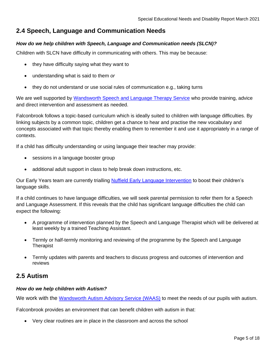# <span id="page-4-0"></span>**2.4 Speech, Language and Communication Needs**

#### *How do we help children with Speech, Language and Communication needs (SLCN)?*

Children with SLCN have difficulty in communicating with others. This may be because:

- they have difficulty saying what they want to
- understanding what is said to them *or*
- they do not understand or use social rules of communication e.g., taking turns

We are well supported by [Wandsworth Speech and Language Therapy Service](https://thrive.wandsworth.gov.uk/kb5/wandsworth/fsd/service.page?id=fVXLVW90mZg&familychannel=0) who provide training, advice and direct intervention and assessment as needed.

Falconbrook follows a topic-based curriculum which is ideally suited to children with language difficulties. By linking subjects by a common topic, children get a chance to hear and practise the new vocabulary and concepts associated with that topic thereby enabling them to remember it and use it appropriately in a range of contexts.

If a child has difficulty understanding or using language their teacher may provide:

- sessions in a language booster group
- additional adult support in class to help break down instructions, etc.

Our Early Years team are currently trialling [Nuffield Early Language Intervention](https://www.nuffieldfoundation.org/project/nuffield-early-language-intervention) to boost their children's language skills.

If a child continues to have language difficulties, we will seek parental permission to refer them for a Speech and Language Assessment. If this reveals that the child has significant language difficulties the child can expect the following:

- A programme of intervention planned by the Speech and Language Therapist which will be delivered at least weekly by a trained Teaching Assistant.
- Termly or half-termly monitoring and reviewing of the programme by the Speech and Language Therapist
- Termly updates with parents and teachers to discuss progress and outcomes of intervention and reviews

## <span id="page-4-1"></span>**2.5 Autism**

#### *How do we help children with Autism?*

We work with the Wandsworth [Autism Advisory Service \(WAAS\)](https://thrive.wandsworth.gov.uk/kb5/wandsworth/fsd/service.page?id=q2Hxo3YORJk&familychannel=0) to meet the needs of our pupils with autism.

Falconbrook provides an environment that can benefit children with autism in that:

• Very clear routines are in place in the classroom and across the school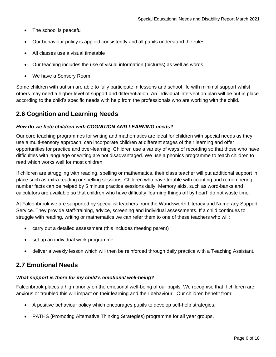- The school is peaceful
- Our behaviour policy is applied consistently and all pupils understand the rules
- All classes use a visual timetable
- Our teaching includes the use of visual information (pictures) as well as words
- We have a Sensory Room

Some children with autism are able to fully participate in lessons and school life with minimal support whilst others may need a higher level of support and differentiation. An individual intervention plan will be put in place according to the child's specific needs with help from the professionals who are working with the child.

## <span id="page-5-0"></span>**2.6 Cognition and Learning Needs**

#### *How do we help children with COGNITION AND LEARNING needs?*

Our core teaching programmes for writing and mathematics are ideal for children with special needs as they use a multi-sensory approach, can incorporate children at different stages of their learning and offer opportunities for practice and over-learning. Children use a variety of ways of recording so that those who have difficulties with language or writing are not disadvantaged. We use a phonics programme to teach children to read which works well for most children.

If children are struggling with reading, spelling or mathematics, their class teacher will put additional support in place such as extra reading or spelling sessions. Children who have trouble with counting and remembering number facts can be helped by 5 minute practice sessions daily. Memory aids, such as word-banks and calculators are available so that children who have difficulty 'learning things off by heart' do not waste time.

At Falconbrook we are supported by specialist teachers from the Wandsworth Literacy and Numeracy Support Service. They provide staff-training, advice, screening and individual assessments. If a child continues to struggle with reading, writing or mathematics we can refer them to one of these teachers who will:

- carry out a detailed assessment (this includes meeting parent)
- set up an individual work programme
- deliver a weekly lesson which will then be reinforced through daily practice with a Teaching Assistant.

## <span id="page-5-1"></span>**2.7 Emotional Needs**

#### *What support is there for my child's emotional well-being?*

Falconbrook places a high priority on the emotional well-being of our pupils. We recognise that if children are anxious or troubled this will impact on their learning and their behaviour. Our children benefit from:

- A positive behaviour policy which encourages pupils to develop self-help strategies.
- PATHS (Promoting Alternative Thinking Strategies) programme for all year groups.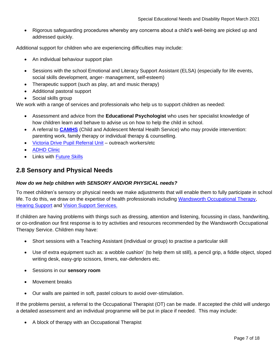• Rigorous safeguarding procedures whereby any concerns about a child's well-being are picked up and addressed quickly.

Additional support for children who are experiencing difficulties may include:

- An individual behaviour support plan
- Sessions with the school Emotional and Literacy Support Assistant (ELSA) (especially for life events, social skills development, anger- management, self-esteem)
- Therapeutic support (such as play, art and music therapy)
- Additional pastoral support
- Social skills group

We work with a range of services and professionals who help us to support children as needed:

- Assessment and advice from the **Educational Psychologist** who uses her specialist knowledge of how children learn and behave to advise us on how to help the child in school.
- A referral to **[CAMHS](https://thrive.wandsworth.gov.uk/kb5/wandsworth/fsd/service.page?id=230sInQ1lqs&familychannel=0)** (Child and Adolescent Mental Health Service) who may provide intervention: parenting work, family therapy or individual therapy & counselling.
- [Victoria Drive Pupil Referral Unit](https://thrive.wandsworth.gov.uk/kb5/wandsworth/fsd/service.page?id=...) outreach workers/etc
- [ADHD Clinic](https://thrive.wandsworth.gov.uk/kb5/wandsworth/fsd/service.page?id=2keDsBTo2Ck&familychannel=2-4-11)
- Links with [Future Skills](https://thrive.wandsworth.gov.uk/kb5/wandsworth/fsd/service.page?id=J_V1vNOTw5Q&familychannel=0)

## <span id="page-6-0"></span>**2.8 Sensory and Physical Needs**

#### *How do we help children with SENSORY AND/OR PHYSICAL needs?*

To meet children's sensory or physical needs we make adjustments that will enable them to fully participate in school life. To do this, we draw on the expertise of health professionals including Wandsworth [Occupational Therapy,](https://thrive.wandsworth.gov.uk/kb5/wandsworth/fsd/service.page?id=sVr83bz7J-4&familychannel=0) **[Hearing Support](https://thrive.wandsworth.gov.uk/kb5/wandsworth/fsd/service.page?id=h1DHCyk-1mk&familychannel=0) and [Vision Support](https://thrive.wandsworth.gov.uk/kb5/wandsworth/fsd/service.page?id=T0N779mg9hU&familychannel=0) Services.** 

If children are having problems with things such as dressing, attention and listening, focussing in class, handwriting, or co-ordination our first response is to try activities and resources recommended by the Wandsworth Occupational Therapy Service. Children may have:

- Short sessions with a Teaching Assistant (individual or group) to practise a particular skill
- Use of extra equipment such as: a wobble cushion' (to help them sit still), a pencil grip, a fiddle object, sloped writing desk, easy-grip scissors, timers, ear-defenders etc.
- Sessions in our **sensory room**
- Movement breaks
- Our walls are painted in soft, pastel colours to avoid over-stimulation.

If the problems persist, a referral to the Occupational Therapist (OT) can be made. If accepted the child will undergo a detailed assessment and an individual programme will be put in place if needed. This may include:

• A block of therapy with an Occupational Therapist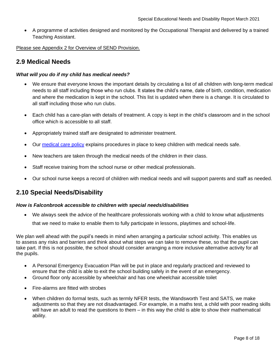• A programme of activities designed and monitored by the Occupational Therapist and delivered by a trained Teaching Assistant.

Please see Appendix 2 for Overview of SEND Provision.

## <span id="page-7-0"></span>**2.9 Medical Needs**

#### *What will you do if my child has medical needs?*

- We ensure that everyone knows the important details by circulating a list of all children with long-term medical needs to all staff including those who run clubs. It states the child's name, date of birth, condition, medication and where the medication is kept in the school. This list is updated when there is a change. It is circulated to all staff including those who run clubs.
- Each child has a care-plan with details of treatment. A copy is kept in the child's classroom and in the school office which is accessible to all staff.
- Appropriately trained staff are designated to administer treatment.
- Our [medical](https://www.falconbrook.wandsworth.sch.uk/wp-content/uploads/2020/12/Medical-Care-policy.pdf) care policy explains procedures in place to keep children with medical needs safe.
- New teachers are taken through the medical needs of the children in their class.
- Staff receive training from the school nurse or other medical professionals.
- Our school nurse keeps a record of children with medical needs and will support parents and staff as needed.

## <span id="page-7-1"></span>**2.10 Special Needs/Disability**

#### *How is Falconbrook accessible to children with special needs/disabilities*

• We always seek the advice of the healthcare professionals working with a child to know what adjustments that we need to make to enable them to fully participate in lessons, playtimes and school-life.

We plan well ahead with the pupil's needs in mind when arranging a particular school activity. This enables us to assess any risks and barriers and think about what steps we can take to remove these, so that the pupil can take part. If this is not possible, the school should consider arranging a more inclusive alternative activity for all the pupils.

- A Personal Emergency Evacuation Plan will be put in place and regularly practiced and reviewed to ensure that the child is able to exit the school building safely in the event of an emergency.
- Ground floor only accessible by wheelchair and has one wheelchair accessible toilet
- Fire-alarms are fitted with strobes
- When children do formal tests, such as termly NFER tests, the Wandsworth Test and SATS, we make adjustments so that they are not disadvantaged. For example, in a maths test, a child with poor reading skills will have an adult to read the questions to them – in this way the child is able to show their mathematical ability.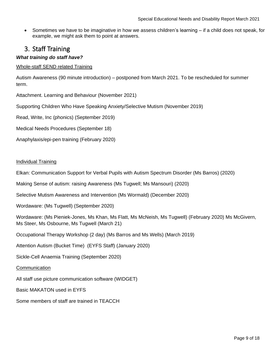• Sometimes we have to be imaginative in how we assess children's learning – if a child does not speak, for example, we might ask them to point at answers.

# <span id="page-8-0"></span>3. Staff Training

#### *What training do staff have?*

#### Whole-staff SEND related Training

Autism Awareness (90 minute introduction) – postponed from March 2021. To be rescheduled for summer term.

Attachment. Learning and Behaviour (November 2021)

Supporting Children Who Have Speaking Anxiety/Selective Mutism (November 2019)

Read, Write, Inc (phonics) (September 2019)

Medical Needs Procedures (September 18)

Anaphylaxis/epi-pen training (February 2020)

#### Individual Training

Elkan: Communication Support for Verbal Pupils with Autism Spectrum Disorder (Ms Barros) (2020)

Making Sense of autism: raising Awareness (Ms Tugwell; Ms Mansouri) (2020)

Selective Mutism Awareness and Intervention (Ms Wormald) (December 2020)

Wordaware: (Ms Tugwell) (September 2020)

Wordaware: (Ms Pieniek-Jones, Ms Khan, Ms Flatt, Ms McNeish, Ms Tugwell) (February 2020) Ms McGivern, Ms Steer, Ms Osbourne, Ms Tugwell (March 21)

Occupational Therapy Workshop (2 day) (Ms Barros and Ms Wells) (March 2019)

Attention Autism (Bucket Time) (EYFS Staff) (January 2020)

Sickle-Cell Anaemia Training (September 2020)

#### **Communication**

All staff use picture communication software (WIDGET)

Basic MAKATON used in EYFS

Some members of staff are trained in TEACCH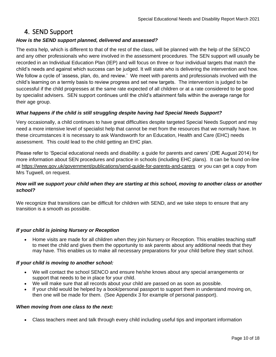# <span id="page-9-0"></span>4. SEND Support

#### *How is the SEND support planned, delivered and assessed?*

The extra help, which is different to that of the rest of the class, will be planned with the help of the SENCO and any other professionals who were involved in the assessment procedures. The SEN support will usually be recorded in an Individual Education Plan (IEP) and will focus on three or four individual targets that match the child's needs and against which success can be judged. It will state who is delivering the intervention and how. We follow a cycle of 'assess, plan, do, and review.' We meet with parents and professionals involved with the child's learning on a termly basis to review progress and set new targets. The intervention is judged to be successful if the child progresses at the same rate expected of all children or at a rate considered to be good by specialist advisers. SEN support continues until the child's attainment falls within the average range for their age group.

#### *What happens if the child is still struggling despite having had Special Needs Support?*

Very occasionally, a child continues to have great difficulties despite targeted Special Needs Support and may need a more intensive level of specialist help that cannot be met from the resources that we normally have. In these circumstances it is necessary to ask Wandsworth for an Education, Health and Care (EHC) needs assessment. This could lead to the child getting an EHC plan.

Please refer to 'Special educational needs and disability: a guide for parents and carers' (DfE August 2014) for more information about SEN procedures and practice in schools (including EHC plans). It can be found on-line at<https://www.gov.uk/government/publications/send-guide-for-parents-and-carers>or you can get a copy from Mrs Tugwell, on request.

#### *How will we support your child when they are starting at this school, moving to another class or another school?*

We recognize that transitions can be difficult for children with SEND, and we take steps to ensure that any transition is a smooth as possible.

#### *If your child is joining Nursery or Reception*

• Home visits are made for all children when they join Nursery or Reception. This enables teaching staff to meet the child and gives them the opportunity to ask parents about any additional needs that they may have. This enables us to make all necessary preparations for your child before they start school.

#### *If your child is moving to another school:*

- We will contact the school SENCO and ensure he/she knows about any special arrangements or support that needs to be in place for your child.
- We will make sure that all records about your child are passed on as soon as possible.
- If your child would be helped by a book/personal passport to support them in understand moving on, then one will be made for them. (See Appendix 3 for example of personal passport).

#### *When moving from one class to the next:*

• Class teachers meet and talk through every child including useful tips and important information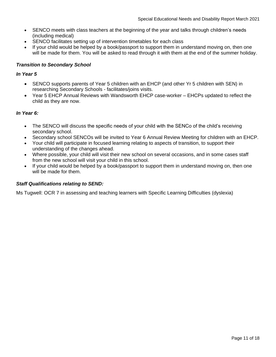- SENCO meets with class teachers at the beginning of the year and talks through children's needs (including medical)
- SENCO facilitates setting up of intervention timetables for each class
- If your child would be helped by a book/passport to support them in understand moving on, then one will be made for them. You will be asked to read through it with them at the end of the summer holiday.

#### *Transition to Secondary School*

#### *In Year 5*

- SENCO supports parents of Year 5 children with an EHCP (and other Yr 5 children with SEN) in researching Secondary Schools - facilitates/joins visits.
- Year 5 EHCP Annual Reviews with Wandsworth EHCP case-worker EHCPs updated to reflect the child as they are now.

#### *In Year 6:*

- The SENCO will discuss the specific needs of your child with the SENCo of the child's receiving secondary school.
- Secondary school SENCOs will be invited to Year 6 Annual Review Meeting for children with an EHCP.
- Your child will participate in focused learning relating to aspects of transition, to support their understanding of the changes ahead.
- Where possible, your child will visit their new school on several occasions, and in some cases staff from the new school will visit your child in this school.
- If your child would be helped by a book/passport to support them in understand moving on, then one will be made for them.

#### *Staff Qualifications relating to SEND:*

Ms Tugwell: OCR 7 in assessing and teaching learners with Specific Learning Difficulties (dyslexia)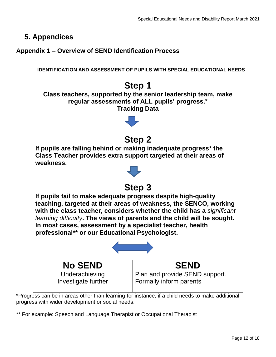# <span id="page-11-0"></span>**5. Appendices**

# <span id="page-11-1"></span>**Appendix 1 – Overview of SEND Identification Process**

**IDENTIFICATION AND ASSESSMENT OF PUPILS WITH SPECIAL EDUCATIONAL NEEDS**



\*Progress can be in areas other than learning-for instance, if a child needs to make additional progress with wider development or social needs.

\*\* For example: Speech and Language Therapist or Occupational Therapist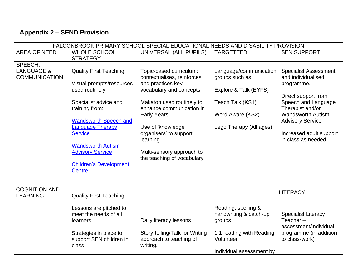# **Appendix 2 – SEND Provision**

<span id="page-12-0"></span>

| FALCONBROOK PRIMARY SCHOOL SPECIAL EDUCATIONAL NEEDS AND DISABILITY PROVISION |                                                                                                                                                                                                                                                                                                              |                                                                                                                                                                                                                                                                                                            |                                                                                                                                       |                                                                                                                                                                                                                                             |
|-------------------------------------------------------------------------------|--------------------------------------------------------------------------------------------------------------------------------------------------------------------------------------------------------------------------------------------------------------------------------------------------------------|------------------------------------------------------------------------------------------------------------------------------------------------------------------------------------------------------------------------------------------------------------------------------------------------------------|---------------------------------------------------------------------------------------------------------------------------------------|---------------------------------------------------------------------------------------------------------------------------------------------------------------------------------------------------------------------------------------------|
| <b>AREA OF NEED</b>                                                           | <b>WHOLE SCHOOL</b>                                                                                                                                                                                                                                                                                          | UNIVERSAL (ALL PUPILS)                                                                                                                                                                                                                                                                                     | <b>TARGETTED</b>                                                                                                                      | <b>SEN SUPPORT</b>                                                                                                                                                                                                                          |
|                                                                               | <b>STRATEGY</b>                                                                                                                                                                                                                                                                                              |                                                                                                                                                                                                                                                                                                            |                                                                                                                                       |                                                                                                                                                                                                                                             |
| SPEECH,<br><b>LANGUAGE &amp;</b><br><b>COMMUNICATION</b>                      | <b>Quality First Teaching</b><br>Visual prompts/resources<br>used routinely<br>Specialist advice and<br>training from:<br><b>Wandsworth Speech and</b><br><b>Language Therapy</b><br><b>Service</b><br><b>Wandsworth Autism</b><br><b>Advisory Service</b><br><b>Children's Development</b><br><b>Centre</b> | Topic-based curriculum:<br>contextualises, reinforces<br>and practices key<br>vocabulary and concepts<br>Makaton used routinely to<br>enhance communication in<br><b>Early Years</b><br>Use of 'knowledge<br>organisers' to support<br>learning<br>Multi-sensory approach to<br>the teaching of vocabulary | Language/communication<br>groups such as:<br>Explore & Talk (EYFS)<br>Teach Talk (KS1)<br>Word Aware (KS2)<br>Lego Therapy (All ages) | <b>Specialist Assessment</b><br>and individualised<br>programme.<br>Direct support from<br>Speech and Language<br>Therapist and/or<br><b>Wandsworth Autism</b><br><b>Advisory Service</b><br>Increased adult support<br>in class as needed. |
| <b>COGNITION AND</b><br><b>LEARNING</b>                                       | <b>Quality First Teaching</b>                                                                                                                                                                                                                                                                                |                                                                                                                                                                                                                                                                                                            |                                                                                                                                       | <b>LITERACY</b>                                                                                                                                                                                                                             |
|                                                                               | Lessons are pitched to<br>meet the needs of all<br>learners<br>Strategies in place to<br>support SEN children in<br>class                                                                                                                                                                                    | Daily literacy lessons<br>Story-telling/Talk for Writing<br>approach to teaching of<br>writing.                                                                                                                                                                                                            | Reading, spelling &<br>handwriting & catch-up<br>groups<br>1:1 reading with Reading<br>Volunteer<br>Individual assessment by          | <b>Specialist Literacy</b><br>Teacher $-$<br>assessment/individual<br>programme (in addition<br>to class-work)                                                                                                                              |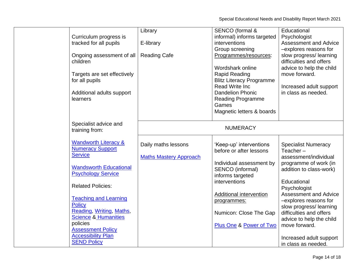Special Educational Needs and Disability Report March 2021

|                                 | Library                       | SENCO (formal &                 | Educational                  |
|---------------------------------|-------------------------------|---------------------------------|------------------------------|
| Curriculum progress is          |                               | informal) informs targeted      | Psychologist                 |
| tracked for all pupils          | E-library                     | interventions                   | <b>Assessment and Advice</b> |
|                                 |                               | Group screening                 | -explores reasons for        |
| Ongoing assessment of all       | <b>Reading Cafe</b>           | Programmes/resources:           | slow progress/learning       |
| children                        |                               |                                 | difficulties and offers      |
|                                 |                               | Wordshark online                | advice to help the child     |
| Targets are set effectively     |                               | <b>Rapid Reading</b>            | move forward.                |
| for all pupils                  |                               | <b>Blitz Literacy Programme</b> |                              |
|                                 |                               | <b>Read Write Inc.</b>          | Increased adult support      |
| Additional adults support       |                               | <b>Dandelion Phonic</b>         | in class as needed.          |
| learners                        |                               | Reading Programme               |                              |
|                                 |                               | Games                           |                              |
|                                 |                               | Magnetic letters & boards       |                              |
|                                 |                               |                                 |                              |
| Specialist advice and           |                               |                                 |                              |
| training from:                  |                               | <b>NUMERACY</b>                 |                              |
|                                 |                               |                                 |                              |
| <b>Wandworth Literacy &amp;</b> | Daily maths lessons           | 'Keep-up' interventions         | <b>Specialist Numeracy</b>   |
| <b>Numeracy Support</b>         |                               | before or after lessons         | Teacher $-$                  |
| <b>Service</b>                  | <b>Maths Mastery Approach</b> |                                 | assessment/individual        |
|                                 |                               | Individual assessment by        | programme of work (in        |
| <b>Wandsworth Educational</b>   |                               | SENCO (informal)                | addition to class-work)      |
| <b>Psychology Service</b>       |                               | informs targeted                |                              |
|                                 |                               | interventions                   | Educational                  |
| <b>Related Policies:</b>        |                               |                                 | Psychologist                 |
|                                 |                               | Additional intervention         | <b>Assessment and Advice</b> |
| <b>Teaching and Learning</b>    |                               | programmes:                     | -explores reasons for        |
| <b>Policy</b>                   |                               |                                 | slow progress/learning       |
| Reading, Writing, Maths,        |                               | Numicon: Close The Gap          | difficulties and offers      |
| <b>Science &amp; Humanities</b> |                               |                                 | advice to help the child     |
| policies                        |                               | Plus One & Power of Two         | move forward.                |
| <b>Assessment Policy</b>        |                               |                                 |                              |
| <b>Accessibility Plan</b>       |                               |                                 | Increased adult support      |
| <b>SEND Policy</b>              |                               |                                 | in class as needed.          |
|                                 |                               |                                 |                              |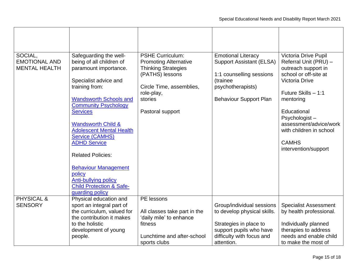| SOCIAL,<br><b>EMOTIONAL AND</b><br><b>MENTAL HEALTH</b> | Safeguarding the well-<br>being of all children of<br>paramount importance.<br>Specialist advice and<br>training from:<br><b>Wandsworth Schools and</b><br><b>Community Psychology</b><br><b>Services</b><br><b>Wandsworth Child &amp;</b><br><b>Adolescent Mental Health</b><br><b>Service (CAMHS)</b><br><b>ADHD Service</b><br><b>Related Policies:</b><br><b>Behaviour Management</b><br>policy<br><b>Anti-bullying policy</b><br><b>Child Protection &amp; Safe-</b><br>guarding policy | <b>PSHE Curriculum:</b><br><b>Promoting Alternative</b><br><b>Thinking Strategies</b><br>(PATHS) lessons<br>Circle Time, assemblies,<br>role-play,<br>stories<br>Pastoral support | <b>Emotional Literacy</b><br><b>Support Assistant (ELSA)</b><br>1:1 counselling sessions<br>(trainee<br>psychotherapists)<br><b>Behaviour Support Plan</b> | Victoria Drive Pupil<br>Referral Unit (PRU) -<br>outreach support in<br>school or off-site at<br><b>Victoria Drive</b><br>Future Skills - 1:1<br>mentoring<br>Educational<br>Psychologist-<br>assessment/advice/work<br>with children in school<br><b>CAMHS</b><br>intervention/support |
|---------------------------------------------------------|----------------------------------------------------------------------------------------------------------------------------------------------------------------------------------------------------------------------------------------------------------------------------------------------------------------------------------------------------------------------------------------------------------------------------------------------------------------------------------------------|-----------------------------------------------------------------------------------------------------------------------------------------------------------------------------------|------------------------------------------------------------------------------------------------------------------------------------------------------------|-----------------------------------------------------------------------------------------------------------------------------------------------------------------------------------------------------------------------------------------------------------------------------------------|
| PHYSICAL &<br><b>SENSORY</b>                            | Physical education and<br>sport an integral part of<br>the curriculum, valued for<br>the contribution it makes<br>to the holistic<br>development of young<br>people.                                                                                                                                                                                                                                                                                                                         | PE lessons<br>All classes take part in the<br>'daily mile' to enhance<br>fitness<br>Lunchtime and after-school<br>sports clubs                                                    | Group/individual sessions<br>to develop physical skills.<br>Strategies in place to<br>support pupils who have<br>difficulty with focus and<br>attention.   | <b>Specialist Assessment</b><br>by health professional.<br>Individually planned<br>therapies to address<br>needs and enable child<br>to make the most of                                                                                                                                |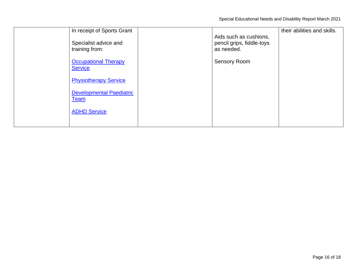| In receipt of Sports Grant<br>Specialist advice and<br>training from: | Aids such as cushions,<br>pencil grips, fiddle-toys<br>as needed. | their abilities and skills. |
|-----------------------------------------------------------------------|-------------------------------------------------------------------|-----------------------------|
| <b>Occupational Therapy</b><br><b>Service</b>                         | <b>Sensory Room</b>                                               |                             |
| <b>Physiotherapy Service</b>                                          |                                                                   |                             |
| <b>Developmental Paediatric</b><br><b>Team</b>                        |                                                                   |                             |
| <b>ADHD Service</b>                                                   |                                                                   |                             |
|                                                                       |                                                                   |                             |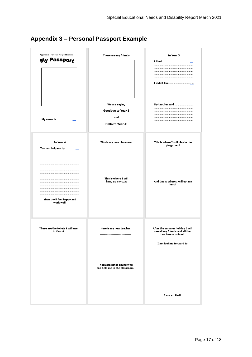# <span id="page-16-0"></span>**Appendix 3 – Personal Passport Example**

| Appendix 3 - Personal Passport Example<br><b>My Passport</b> | These are my friends<br>We are saying<br>Goodbye to Year 3<br>and<br><b>Hello to Year 4!</b> | In Year 3<br>My teacher said                                                                                                         |
|--------------------------------------------------------------|----------------------------------------------------------------------------------------------|--------------------------------------------------------------------------------------------------------------------------------------|
| In Year 4<br>Then I will feel happy and<br>work well.        | This is my new classroom<br>This is where I will<br>hang up my coat                          | This is where I will play in the<br>playground<br>And this is where I will eat my<br>lunch                                           |
| These are the toilets I will use<br>in Year 4                | Here is my new teacher<br>These are other adults who<br>can help me in the classroom.        | After the summer holiday I will<br>see all my friends and all the<br>teachers at school.<br>I am looking forward to<br>I am excited! |